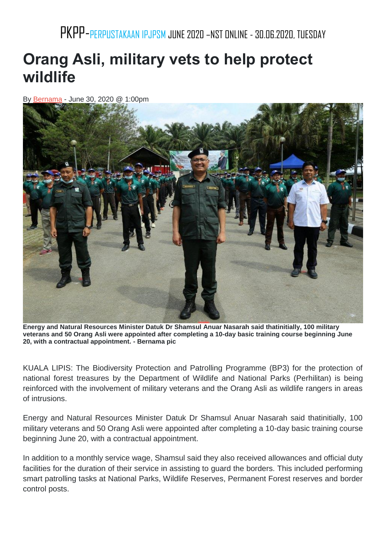## **Orang Asli, military vets to help protect wildlife**

By [Bernama](https://www.nst.com.my/authors/bernama) - June 30, 2020 @ 1:00pm



**Energy and Natural Resources Minister Datuk Dr Shamsul Anuar Nasarah said thatinitially, 100 military veterans and 50 Orang Asli were appointed after completing a 10-day basic training course beginning June 20, with a contractual appointment. - Bernama pic**

KUALA LIPIS: The Biodiversity Protection and Patrolling Programme (BP3) for the protection of national forest treasures by the Department of Wildlife and National Parks (Perhilitan) is being reinforced with the involvement of military veterans and the Orang Asli as wildlife rangers in areas of intrusions.

Energy and Natural Resources Minister Datuk Dr Shamsul Anuar Nasarah said thatinitially, 100 military veterans and 50 Orang Asli were appointed after completing a 10-day basic training course beginning June 20, with a contractual appointment.

In addition to a monthly service wage, Shamsul said they also received allowances and official duty facilities for the duration of their service in assisting to guard the borders. This included performing smart patrolling tasks at National Parks, Wildlife Reserves, Permanent Forest reserves and border control posts.